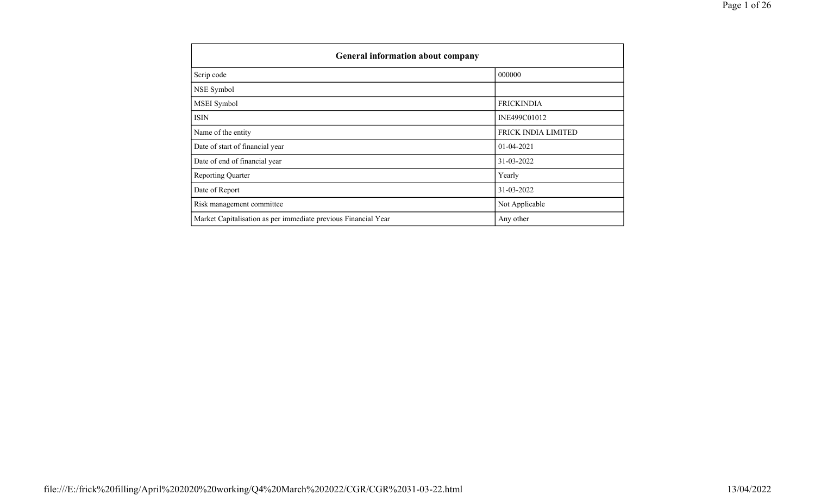| <b>General information about company</b>                       |                     |  |  |  |  |  |  |
|----------------------------------------------------------------|---------------------|--|--|--|--|--|--|
| Scrip code                                                     | 000000              |  |  |  |  |  |  |
| NSE Symbol                                                     |                     |  |  |  |  |  |  |
| MSEI Symbol                                                    | <b>FRICKINDIA</b>   |  |  |  |  |  |  |
| ISIN                                                           | INE499C01012        |  |  |  |  |  |  |
| Name of the entity                                             | FRICK INDIA LIMITED |  |  |  |  |  |  |
| Date of start of financial year                                | $01 - 04 - 2021$    |  |  |  |  |  |  |
| Date of end of financial year                                  | 31-03-2022          |  |  |  |  |  |  |
| <b>Reporting Quarter</b>                                       | Yearly              |  |  |  |  |  |  |
| Date of Report                                                 | 31-03-2022          |  |  |  |  |  |  |
| Risk management committee                                      | Not Applicable      |  |  |  |  |  |  |
| Market Capitalisation as per immediate previous Financial Year | Any other           |  |  |  |  |  |  |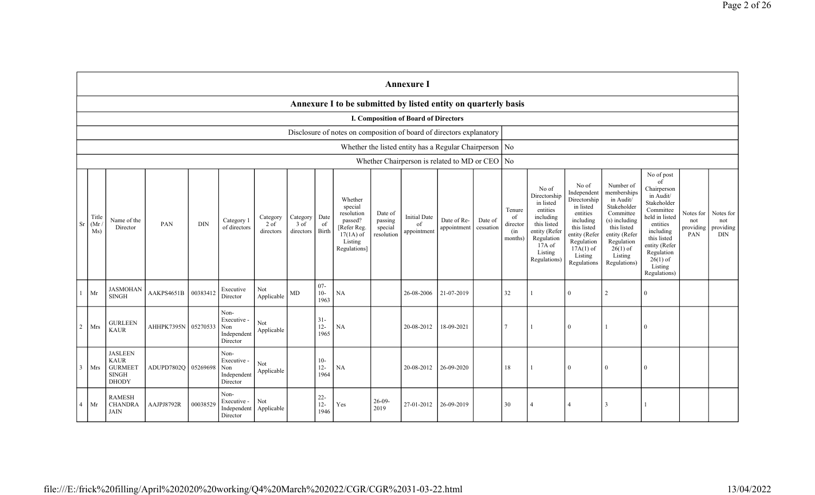|                | <b>Annexure I</b>                                                    |                                                                                 |                     |            |                                                       |                                 |                                 |                         |                                                                                                      |                                             |                                          |                                                          |                      |                                            |                                                                                                                                                  |                                                                                                                                                                   |                                                                                                                                                                           |                                                                                                                                                                                                            |                                      |                                             |
|----------------|----------------------------------------------------------------------|---------------------------------------------------------------------------------|---------------------|------------|-------------------------------------------------------|---------------------------------|---------------------------------|-------------------------|------------------------------------------------------------------------------------------------------|---------------------------------------------|------------------------------------------|----------------------------------------------------------|----------------------|--------------------------------------------|--------------------------------------------------------------------------------------------------------------------------------------------------|-------------------------------------------------------------------------------------------------------------------------------------------------------------------|---------------------------------------------------------------------------------------------------------------------------------------------------------------------------|------------------------------------------------------------------------------------------------------------------------------------------------------------------------------------------------------------|--------------------------------------|---------------------------------------------|
|                |                                                                      |                                                                                 |                     |            |                                                       |                                 |                                 |                         | Annexure I to be submitted by listed entity on quarterly basis                                       |                                             |                                          |                                                          |                      |                                            |                                                                                                                                                  |                                                                                                                                                                   |                                                                                                                                                                           |                                                                                                                                                                                                            |                                      |                                             |
|                | I. Composition of Board of Directors                                 |                                                                                 |                     |            |                                                       |                                 |                                 |                         |                                                                                                      |                                             |                                          |                                                          |                      |                                            |                                                                                                                                                  |                                                                                                                                                                   |                                                                                                                                                                           |                                                                                                                                                                                                            |                                      |                                             |
|                | Disclosure of notes on composition of board of directors explanatory |                                                                                 |                     |            |                                                       |                                 |                                 |                         |                                                                                                      |                                             |                                          |                                                          |                      |                                            |                                                                                                                                                  |                                                                                                                                                                   |                                                                                                                                                                           |                                                                                                                                                                                                            |                                      |                                             |
|                |                                                                      |                                                                                 |                     |            |                                                       |                                 |                                 |                         |                                                                                                      |                                             |                                          | Whether the listed entity has a Regular Chairperson   No |                      |                                            |                                                                                                                                                  |                                                                                                                                                                   |                                                                                                                                                                           |                                                                                                                                                                                                            |                                      |                                             |
|                |                                                                      |                                                                                 |                     |            |                                                       |                                 |                                 |                         |                                                                                                      |                                             |                                          | Whether Chairperson is related to MD or CEO   No         |                      |                                            |                                                                                                                                                  |                                                                                                                                                                   |                                                                                                                                                                           |                                                                                                                                                                                                            |                                      |                                             |
| <b>Sr</b>      | Title<br>(Mr)<br>Ms)                                                 | Name of the<br>Director                                                         | PAN                 | <b>DIN</b> | Category 1<br>of directors                            | Category<br>$2$ of<br>directors | Category<br>$3$ of<br>directors | Date<br>of<br>Birth     | Whether<br>special<br>resolution<br>passed?<br>[Refer Reg.<br>$17(1A)$ of<br>Listing<br>Regulations] | Date of<br>passing<br>special<br>resolution | <b>Initial Date</b><br>of<br>appointment | Date of Re-<br>appointment                               | Date of<br>cessation | Tenure<br>of<br>director<br>(in<br>months) | No of<br>Directorship<br>in listed<br>entities<br>including<br>this listed<br>entity (Refer<br>Regulation<br>$17A$ of<br>Listing<br>Regulations) | No of<br>Independent<br>Directorship<br>in listed<br>entities<br>including<br>this listed<br>entity (Refer<br>Regulation<br>$17A(1)$ of<br>Listing<br>Regulations | Number of<br>memberships<br>in Audit/<br>Stakeholder<br>Committee<br>(s) including<br>this listed<br>entity (Refer<br>Regulation<br>$26(1)$ of<br>Listing<br>Regulations) | No of post<br>of<br>Chairperson<br>in Audit/<br>Stakeholder<br>Committee<br>held in listed<br>entities<br>including<br>this listed<br>entity (Refer<br>Regulation<br>$26(1)$ of<br>Listing<br>Regulations) | Notes for<br>not<br>providing<br>PAN | Notes for<br>not<br>providing<br><b>DIN</b> |
|                | Mr                                                                   | <b>JASMOHAN</b><br><b>SINGH</b>                                                 | AAKPS4651B          | 00383412   | Executive<br>Director                                 | Not<br>Applicable               | $\mbox{MD}$                     | $07 -$<br>$10-$<br>1963 | NA                                                                                                   |                                             | 26-08-2006                               | 21-07-2019                                               |                      | 32                                         |                                                                                                                                                  | $\overline{0}$                                                                                                                                                    |                                                                                                                                                                           | $\Omega$                                                                                                                                                                                                   |                                      |                                             |
| $\overline{2}$ | Mrs                                                                  | <b>GURLEEN</b><br><b>KAUR</b>                                                   | AHHPK7395N          | 05270533   | Non-<br>Executive -<br>Non<br>Independent<br>Director | Not<br>Applicable               |                                 | $31-$<br>$12-$<br>1965  | <b>NA</b>                                                                                            |                                             | 20-08-2012                               | 18-09-2021                                               |                      | $\overline{7}$                             |                                                                                                                                                  | $\mathbf{0}$                                                                                                                                                      |                                                                                                                                                                           | $\Omega$                                                                                                                                                                                                   |                                      |                                             |
| $\mathcal{R}$  | Mrs                                                                  | <b>JASLEEN</b><br><b>KAUR</b><br><b>GURMEET</b><br><b>SINGH</b><br><b>DHODY</b> | ADUPD7802Q 05269698 |            | Non-<br>Executive -<br>Non<br>Independent<br>Director | Not<br>Applicable               |                                 | $10-$<br>$12 -$<br>1964 | <b>NA</b>                                                                                            |                                             | 20-08-2012                               | 26-09-2020                                               |                      | 18                                         |                                                                                                                                                  | $\overline{0}$                                                                                                                                                    | $\overline{0}$                                                                                                                                                            | $\Omega$                                                                                                                                                                                                   |                                      |                                             |
| $\overline{4}$ | Mr                                                                   | <b>RAMESH</b><br><b>CHANDRA</b><br><b>JAIN</b>                                  | AAJPJ8792R          | 00038529   | Non-<br>Executive -<br>Independent<br>Director        | Not<br>Applicable               |                                 | $22 -$<br>$12-$<br>1946 | Yes                                                                                                  | $26-09-$<br>2019                            | 27-01-2012                               | 26-09-2019                                               |                      | 30                                         | $\overline{4}$                                                                                                                                   | $\overline{4}$                                                                                                                                                    |                                                                                                                                                                           |                                                                                                                                                                                                            |                                      |                                             |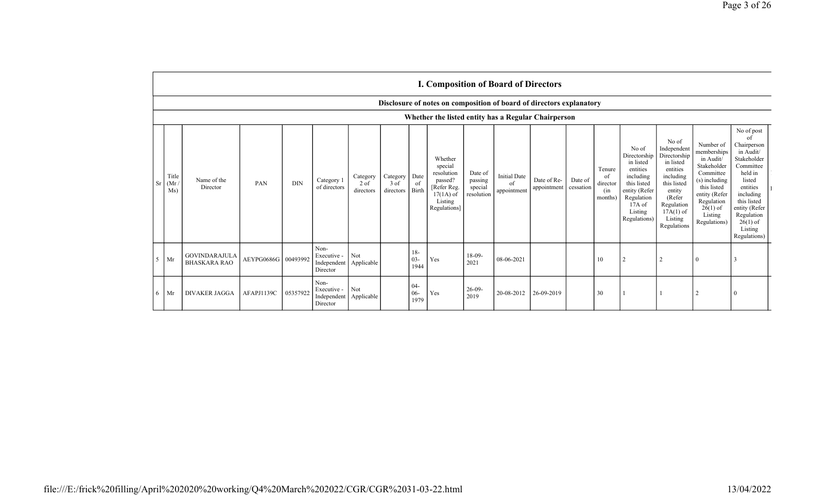|                |                                                                      | <b>I. Composition of Board of Directors</b> |                     |            |                                                |                                 |                               |                            |                                                                                                      |                                             |                                          |                            |                      |                                             |                                                                                                                                                |                                                                                                                                                                      |                                                                                                                                                                           |                                                                                                                                                                                                               |
|----------------|----------------------------------------------------------------------|---------------------------------------------|---------------------|------------|------------------------------------------------|---------------------------------|-------------------------------|----------------------------|------------------------------------------------------------------------------------------------------|---------------------------------------------|------------------------------------------|----------------------------|----------------------|---------------------------------------------|------------------------------------------------------------------------------------------------------------------------------------------------|----------------------------------------------------------------------------------------------------------------------------------------------------------------------|---------------------------------------------------------------------------------------------------------------------------------------------------------------------------|---------------------------------------------------------------------------------------------------------------------------------------------------------------------------------------------------------------|
|                | Disclosure of notes on composition of board of directors explanatory |                                             |                     |            |                                                |                                 |                               |                            |                                                                                                      |                                             |                                          |                            |                      |                                             |                                                                                                                                                |                                                                                                                                                                      |                                                                                                                                                                           |                                                                                                                                                                                                               |
|                | Whether the listed entity has a Regular Chairperson                  |                                             |                     |            |                                                |                                 |                               |                            |                                                                                                      |                                             |                                          |                            |                      |                                             |                                                                                                                                                |                                                                                                                                                                      |                                                                                                                                                                           |                                                                                                                                                                                                               |
| <b>Sr</b>      | Title<br>(Mr)<br>Ms)                                                 | Name of the<br>Director                     | PAN                 | <b>DIN</b> | Category 1<br>of directors                     | Category<br>$2$ of<br>directors | Category<br>3 of<br>directors | Date<br>of<br><b>Birth</b> | Whether<br>special<br>resolution<br>passed?<br>[Refer Reg.<br>$17(1A)$ of<br>Listing<br>Regulations] | Date of<br>passing<br>special<br>resolution | <b>Initial Date</b><br>of<br>appointment | Date of Re-<br>appointment | Date of<br>cessation | Tenure<br>-of<br>director<br>(in<br>months) | No of<br>Directorship<br>in listed<br>entities<br>including<br>this listed<br>entity (Refer<br>Regulation<br>17A of<br>Listing<br>Regulations) | No of<br>Independent<br>Directorship<br>in listed<br>entities<br>including<br>this listed<br>entity<br>(Refer<br>Regulation<br>$17A(1)$ of<br>Listing<br>Regulations | Number of<br>memberships<br>in Audit/<br>Stakeholder<br>Committee<br>(s) including<br>this listed<br>entity (Refer<br>Regulation<br>$26(1)$ of<br>Listing<br>Regulations) | No of post<br>of<br>Chairperson<br>in Audit/<br>Stakeholder<br>Committee<br>held in<br>listed<br>entities<br>including<br>this listed<br>entity (Refer<br>Regulation<br>$26(1)$ of<br>Listing<br>Regulations) |
| 5 <sup>5</sup> | Mr                                                                   | <b>GOVINDARAJULA</b><br><b>BHASKARA RAO</b> | AEYPG0686G 00493992 |            | Non-<br>Executive -<br>Independent<br>Director | Not<br>Applicable               |                               | $18-$<br>$03 -$<br>1944    | Yes                                                                                                  | $18-09-$<br>2021                            | 08-06-2021                               |                            |                      | 10                                          | $\overline{2}$                                                                                                                                 | $\overline{2}$                                                                                                                                                       | $\theta$                                                                                                                                                                  | 3                                                                                                                                                                                                             |
| 6              | Mr                                                                   | <b>DIVAKER JAGGA</b>                        | AFAPJ1139C          | 05357922   | Non-<br>Executive -<br>Independent<br>Director | Not<br>Applicable               |                               | $04-$<br>$06 -$<br>1979    | Yes                                                                                                  | $26-09-$<br>2019                            | 20-08-2012                               | 26-09-2019                 |                      | 30                                          |                                                                                                                                                |                                                                                                                                                                      |                                                                                                                                                                           |                                                                                                                                                                                                               |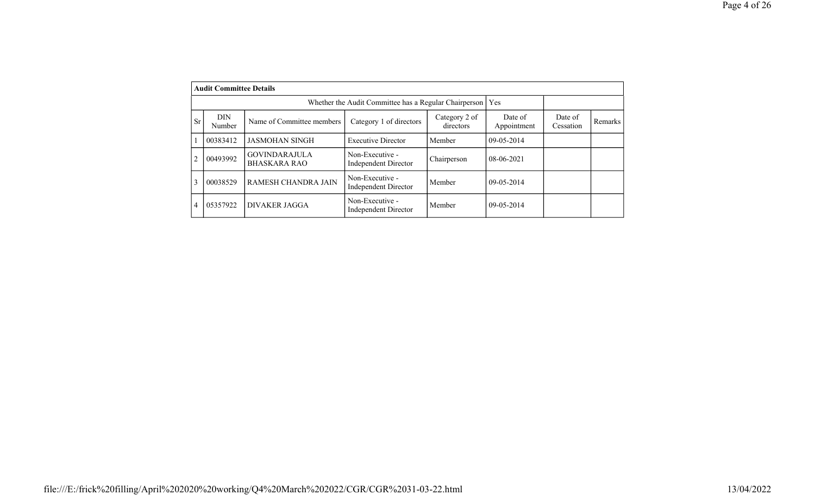|                | <b>Audit Committee Details</b> |                                             |                                                       |                            |                        |                      |                |
|----------------|--------------------------------|---------------------------------------------|-------------------------------------------------------|----------------------------|------------------------|----------------------|----------------|
|                |                                |                                             | Whether the Audit Committee has a Regular Chairperson | Yes                        |                        |                      |                |
| <b>Sr</b>      | DIN<br>Number                  | Name of Committee members                   | Category 1 of directors                               | Category 2 of<br>directors | Date of<br>Appointment | Date of<br>Cessation | <b>Remarks</b> |
|                | 00383412                       | <b>JASMOHAN SINGH</b>                       | <b>Executive Director</b>                             | Member                     | $09-05-2014$           |                      |                |
| $\overline{2}$ | 00493992                       | <b>GOVINDARAJULA</b><br><b>BHASKARA RAO</b> | Non-Executive -<br><b>Independent Director</b>        | Chairperson                | 08-06-2021             |                      |                |
| 3              | 00038529                       | RAMESH CHANDRA JAIN                         | Non-Executive -<br>Independent Director               | Member                     | $09 - 05 - 2014$       |                      |                |
| 4              | 05357922                       | <b>DIVAKER JAGGA</b>                        | Non-Executive -<br><b>Independent Director</b>        | Member                     | 09-05-2014             |                      |                |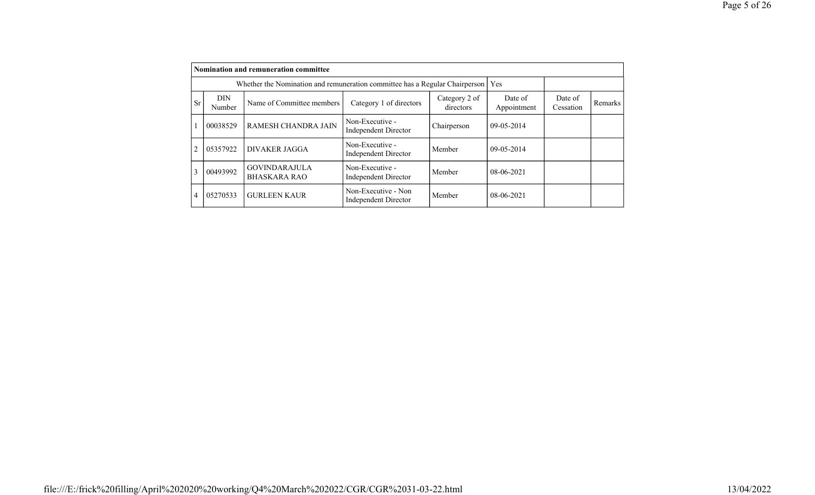|                |                                                                                                            | <b>Nomination and remuneration committee</b> |                                                |             |                        |                      |         |  |  |  |
|----------------|------------------------------------------------------------------------------------------------------------|----------------------------------------------|------------------------------------------------|-------------|------------------------|----------------------|---------|--|--|--|
|                | Whether the Nomination and remuneration committee has a Regular Chairperson                                | Yes                                          |                                                |             |                        |                      |         |  |  |  |
| <b>Sr</b>      | Category 2 of<br><b>DIN</b><br>Name of Committee members<br>Category 1 of directors<br>directors<br>Number |                                              |                                                |             | Date of<br>Appointment | Date of<br>Cessation | Remarks |  |  |  |
|                | 00038529                                                                                                   | RAMESH CHANDRA JAIN                          | Non-Executive -<br><b>Independent Director</b> | Chairperson | $09 - 05 - 2014$       |                      |         |  |  |  |
| $\overline{2}$ | 05357922                                                                                                   | <b>DIVAKER JAGGA</b>                         | Non-Executive -<br><b>Independent Director</b> | Member      | $09-05-2014$           |                      |         |  |  |  |
| 3              | 00493992                                                                                                   | <b>GOVINDARAJULA</b><br><b>BHASKARA RAO</b>  | Non-Executive -<br>Independent Director        | Member      | 08-06-2021             |                      |         |  |  |  |
| $\overline{4}$ | 05270533                                                                                                   | <b>GURLEEN KAUR</b>                          | Non-Executive - Non<br>Independent Director    | Member      | 08-06-2021             |                      |         |  |  |  |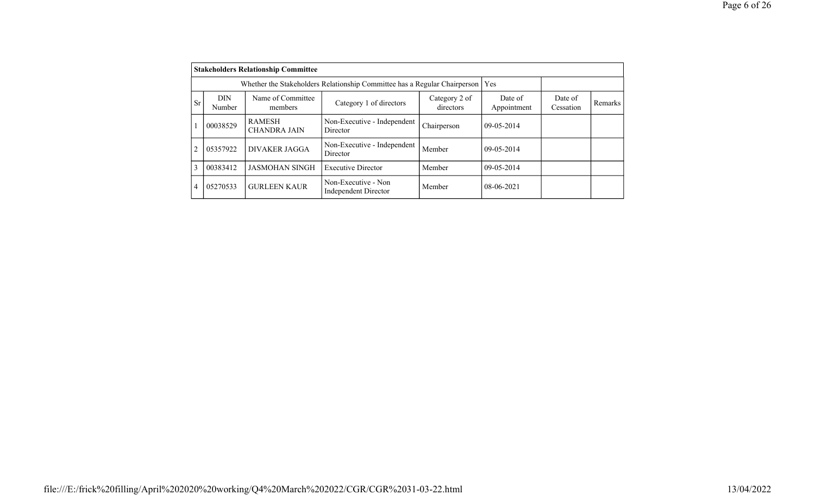|                                                                                                                                   |          | <b>Stakeholders Relationship Committee</b>                                      |                                                    |                        |                      |         |  |
|-----------------------------------------------------------------------------------------------------------------------------------|----------|---------------------------------------------------------------------------------|----------------------------------------------------|------------------------|----------------------|---------|--|
|                                                                                                                                   |          | Whether the Stakeholders Relationship Committee has a Regular Chairperson   Yes |                                                    |                        |                      |         |  |
| Name of Committee<br><b>DIN</b><br>Category 2 of<br><b>Sr</b><br>Category 1 of directors<br>directors<br><b>Number</b><br>members |          |                                                                                 |                                                    | Date of<br>Appointment | Date of<br>Cessation | Remarks |  |
|                                                                                                                                   | 00038529 | <b>RAMESH</b><br><b>CHANDRA JAIN</b>                                            | Non-Executive - Independent<br>Director            | Chairperson            | 09-05-2014           |         |  |
| $\overline{c}$                                                                                                                    | 05357922 | DIVAKER JAGGA                                                                   | Non-Executive - Independent<br>Director            | Member                 | $09-05-2014$         |         |  |
| 3                                                                                                                                 | 00383412 | <b>JASMOHAN SINGH</b>                                                           | <b>Executive Director</b>                          | Member                 | 09-05-2014           |         |  |
| 4                                                                                                                                 | 05270533 | <b>GURLEEN KAUR</b>                                                             | Non-Executive - Non<br><b>Independent Director</b> | Member                 | $08-06-2021$         |         |  |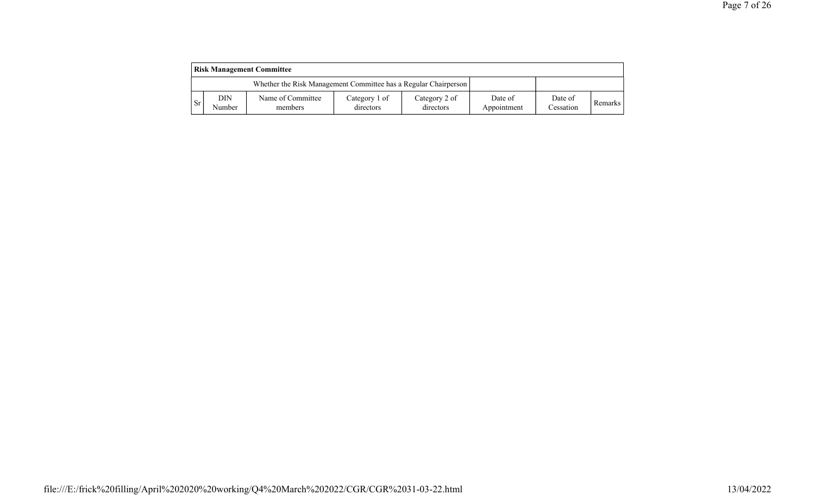| <b>Risk Management Committee</b> |               |                                                                 |                            |                            |                        |                      |                |
|----------------------------------|---------------|-----------------------------------------------------------------|----------------------------|----------------------------|------------------------|----------------------|----------------|
|                                  |               | Whether the Risk Management Committee has a Regular Chairperson |                            |                            |                        |                      |                |
| <b>Sr</b>                        | DIN<br>Number | Name of Committee<br>members                                    | Category 1 of<br>directors | Category 2 of<br>directors | Date of<br>Appointment | Date of<br>Cessation | <b>Remarks</b> |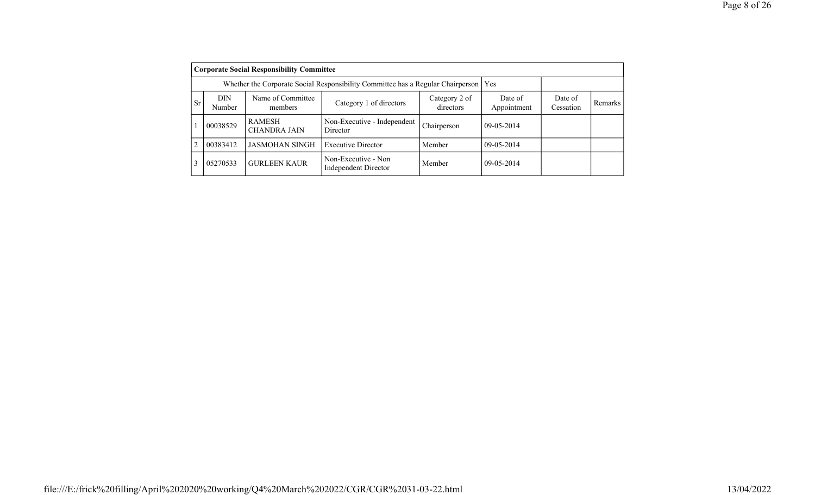|                | <b>Corporate Social Responsibility Committee</b>                                                              |                                                                                       |                                             |             |            |                      |         |  |  |
|----------------|---------------------------------------------------------------------------------------------------------------|---------------------------------------------------------------------------------------|---------------------------------------------|-------------|------------|----------------------|---------|--|--|
|                |                                                                                                               | Whether the Corporate Social Responsibility Committee has a Regular Chairperson   Yes |                                             |             |            |                      |         |  |  |
| <b>Sr</b>      | Name of Committee<br><b>DIN</b><br>Category 2 of<br>Category 1 of directors<br>Number<br>directors<br>members |                                                                                       |                                             |             |            | Date of<br>Cessation | Remarks |  |  |
|                | 00038529                                                                                                      | <b>RAMESH</b><br><b>CHANDRA JAIN</b>                                                  | Non-Executive - Independent<br>Director     | Chairperson | 09-05-2014 |                      |         |  |  |
| $\overline{2}$ | 00383412                                                                                                      | <b>JASMOHAN SINGH</b>                                                                 | <b>Executive Director</b>                   | Member      | 09-05-2014 |                      |         |  |  |
| 3              | 05270533                                                                                                      | <b>GURLEEN KAUR</b>                                                                   | Non-Executive - Non<br>Independent Director | Member      | 09-05-2014 |                      |         |  |  |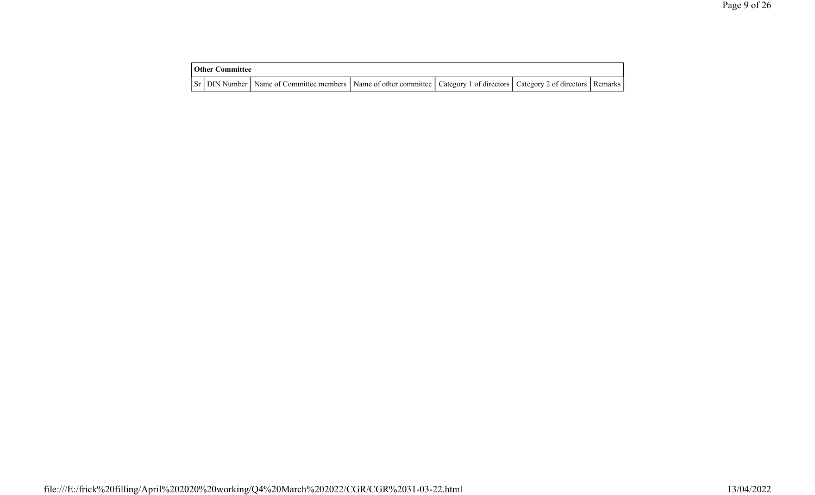| <b>Other Committee</b> |                                                                                                                                     |  |  |
|------------------------|-------------------------------------------------------------------------------------------------------------------------------------|--|--|
|                        | Sr   DIN Number   Name of Committee members   Name of other committee   Category 1 of directors   Category 2 of directors   Remarks |  |  |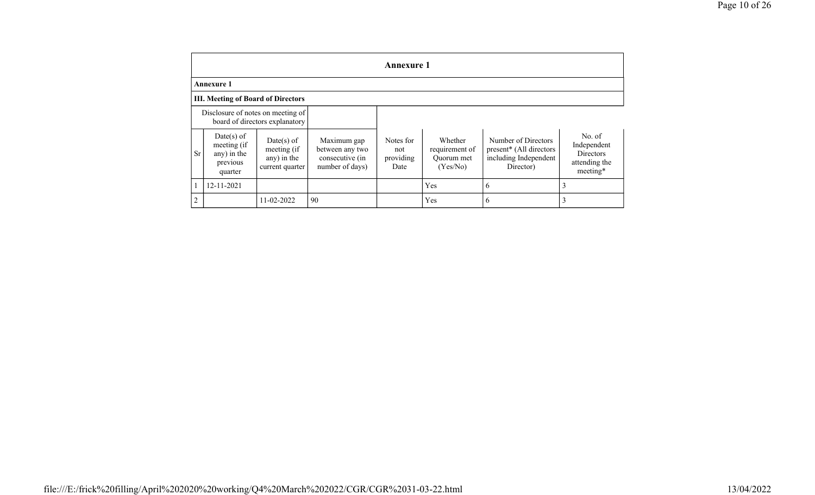|                | Annexure 1                                                      |                                                             |                                                                      |                                       |                                                     |                                                                                                  |                                                                        |  |  |  |
|----------------|-----------------------------------------------------------------|-------------------------------------------------------------|----------------------------------------------------------------------|---------------------------------------|-----------------------------------------------------|--------------------------------------------------------------------------------------------------|------------------------------------------------------------------------|--|--|--|
|                | <b>Annexure 1</b>                                               |                                                             |                                                                      |                                       |                                                     |                                                                                                  |                                                                        |  |  |  |
|                | <b>III. Meeting of Board of Directors</b>                       |                                                             |                                                                      |                                       |                                                     |                                                                                                  |                                                                        |  |  |  |
|                | Disclosure of notes on meeting of                               | board of directors explanatory                              |                                                                      |                                       |                                                     |                                                                                                  |                                                                        |  |  |  |
| <b>Sr</b>      | Date(s) of<br>meeting (if<br>any) in the<br>previous<br>quarter | Date(s) of<br>meeting (if<br>any) in the<br>current quarter | Maximum gap<br>between any two<br>consecutive (in<br>number of days) | Notes for<br>not<br>providing<br>Date | Whether<br>requirement of<br>Ouorum met<br>(Yes/No) | Number of Directors<br>present <sup>*</sup> (All directors<br>including Independent<br>Director) | No. of<br>Independent<br><b>Directors</b><br>attending the<br>meeting* |  |  |  |
|                | 12-11-2021                                                      |                                                             |                                                                      |                                       | Yes                                                 | 6                                                                                                | 3                                                                      |  |  |  |
| $\overline{2}$ |                                                                 | 11-02-2022                                                  | 90                                                                   |                                       | Yes                                                 | 6                                                                                                | 3                                                                      |  |  |  |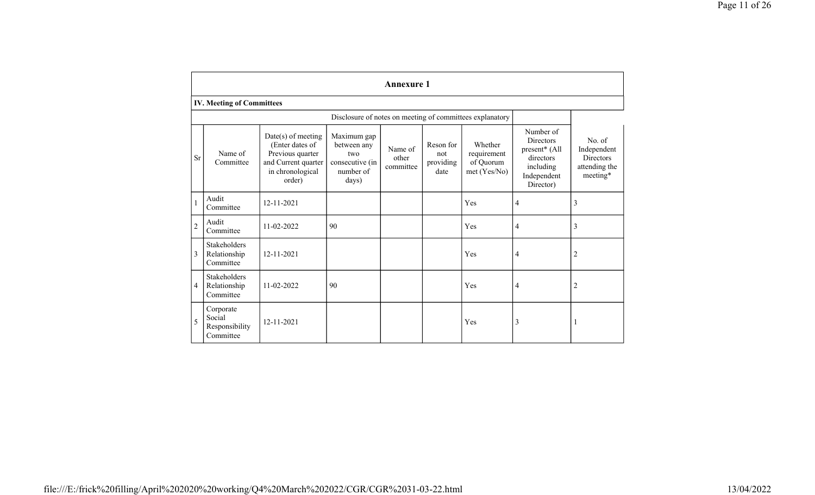|                |                                                    |                                                                                                                  |                                                                            | <b>Annexure 1</b>             |                                       |                                                     |                                                                                               |                                                                          |  |
|----------------|----------------------------------------------------|------------------------------------------------------------------------------------------------------------------|----------------------------------------------------------------------------|-------------------------------|---------------------------------------|-----------------------------------------------------|-----------------------------------------------------------------------------------------------|--------------------------------------------------------------------------|--|
|                | <b>IV. Meeting of Committees</b>                   |                                                                                                                  |                                                                            |                               |                                       |                                                     |                                                                                               |                                                                          |  |
|                |                                                    |                                                                                                                  |                                                                            |                               |                                       |                                                     |                                                                                               |                                                                          |  |
| <b>Sr</b>      | Name of<br>Committee                               | $Date(s)$ of meeting<br>(Enter dates of<br>Previous quarter<br>and Current quarter<br>in chronological<br>order) | Maximum gap<br>between any<br>two<br>consecutive (in<br>number of<br>days) | Name of<br>other<br>committee | Reson for<br>not<br>providing<br>date | Whether<br>requirement<br>of Quorum<br>met (Yes/No) | Number of<br>Directors<br>present* (All<br>directors<br>including<br>Independent<br>Director) | No. of<br>Independent<br><b>Directors</b><br>attending the<br>$meeting*$ |  |
| $\mathbf{1}$   | Audit<br>Committee                                 | 12-11-2021                                                                                                       |                                                                            |                               |                                       | Yes                                                 | $\overline{4}$                                                                                | 3                                                                        |  |
| $\overline{2}$ | Audit<br>Committee                                 | 11-02-2022                                                                                                       | 90                                                                         |                               |                                       | Yes                                                 | $\overline{4}$                                                                                | 3                                                                        |  |
| 3              | Stakeholders<br>Relationship<br>Committee          | $12 - 11 - 2021$                                                                                                 |                                                                            |                               |                                       | Yes                                                 | $\overline{4}$                                                                                | $\overline{2}$                                                           |  |
| 4              | Stakeholders<br>Relationship<br>Committee          | 11-02-2022                                                                                                       | 90                                                                         |                               |                                       | Yes                                                 | $\overline{4}$                                                                                | $\overline{c}$                                                           |  |
| 5              | Corporate<br>Social<br>Responsibility<br>Committee | 12-11-2021                                                                                                       |                                                                            |                               |                                       | Yes                                                 | 3                                                                                             | -1                                                                       |  |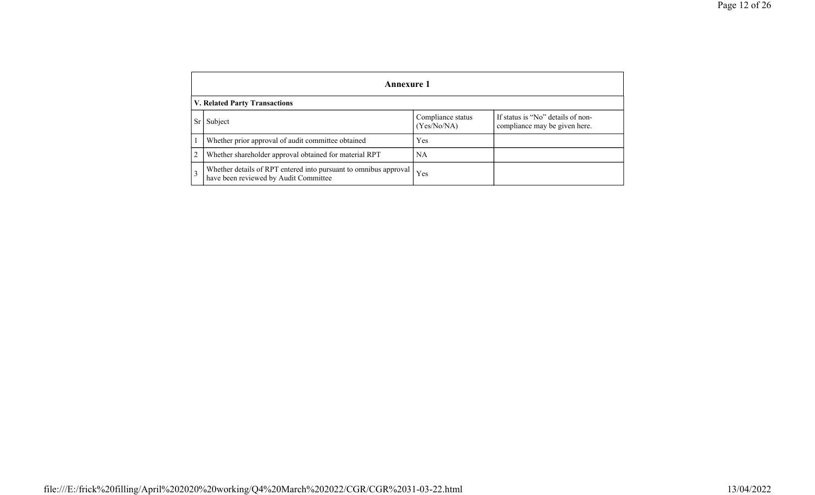|                | Annexure 1                                                                                                |                                  |                                                                    |  |  |  |  |  |  |
|----------------|-----------------------------------------------------------------------------------------------------------|----------------------------------|--------------------------------------------------------------------|--|--|--|--|--|--|
|                | <b>V. Related Party Transactions</b>                                                                      |                                  |                                                                    |  |  |  |  |  |  |
| <b>Sr</b>      | Subject                                                                                                   | Compliance status<br>(Yes/No/NA) | If status is "No" details of non-<br>compliance may be given here. |  |  |  |  |  |  |
|                | Whether prior approval of audit committee obtained                                                        | Yes                              |                                                                    |  |  |  |  |  |  |
| 2              | Whether shareholder approval obtained for material RPT                                                    | NA                               |                                                                    |  |  |  |  |  |  |
| $\overline{3}$ | Whether details of RPT entered into pursuant to omnibus approval<br>have been reviewed by Audit Committee | Yes                              |                                                                    |  |  |  |  |  |  |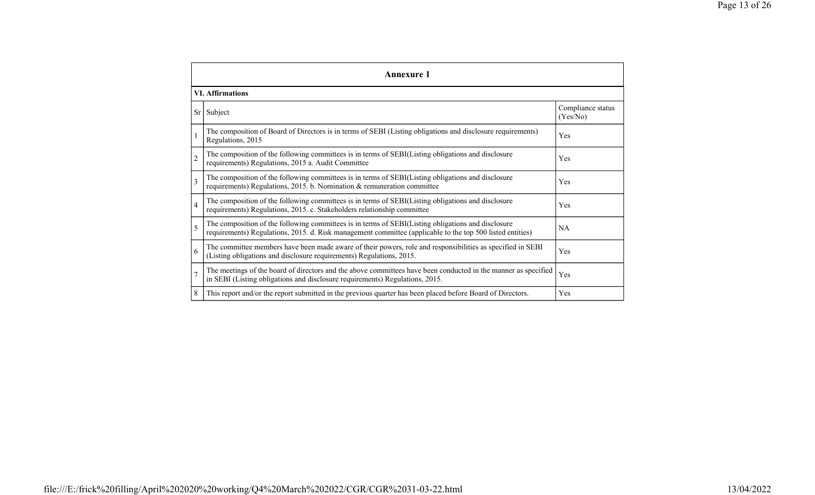|                         | <b>Annexure 1</b>                                                                                                                                                                                               |                               |
|-------------------------|-----------------------------------------------------------------------------------------------------------------------------------------------------------------------------------------------------------------|-------------------------------|
|                         | <b>VI.</b> Affirmations                                                                                                                                                                                         |                               |
|                         | Sr Subject                                                                                                                                                                                                      | Compliance status<br>(Yes/No) |
|                         | The composition of Board of Directors is in terms of SEBI (Listing obligations and disclosure requirements)<br>Regulations, 2015                                                                                | Yes                           |
| $\overline{2}$          | The composition of the following committees is in terms of SEBI(Listing obligations and disclosure<br>requirements) Regulations, 2015 a. Audit Committee                                                        | Yes                           |
| $\overline{\mathbf{3}}$ | The composition of the following committees is in terms of SEBI(Listing obligations and disclosure<br>requirements) Regulations, 2015. b. Nomination & remuneration committee                                   | Yes                           |
| $\overline{4}$          | The composition of the following committees is in terms of SEBI(Listing obligations and disclosure<br>requirements) Regulations, 2015. c. Stakeholders relationship committee                                   | Yes                           |
| 5                       | The composition of the following committees is in terms of SEBI(Listing obligations and disclosure<br>requirements) Regulations, 2015. d. Risk management committee (applicable to the top 500 listed entities) | NA                            |
| 6                       | The committee members have been made aware of their powers, role and responsibilities as specified in SEBI<br>(Listing obligations and disclosure requirements) Regulations, 2015.                              | Yes                           |
| $\overline{7}$          | The meetings of the board of directors and the above committees have been conducted in the manner as specified<br>in SEBI (Listing obligations and disclosure requirements) Regulations, 2015.                  | Yes                           |
| 8                       | This report and/or the report submitted in the previous quarter has been placed before Board of Directors.                                                                                                      | Yes                           |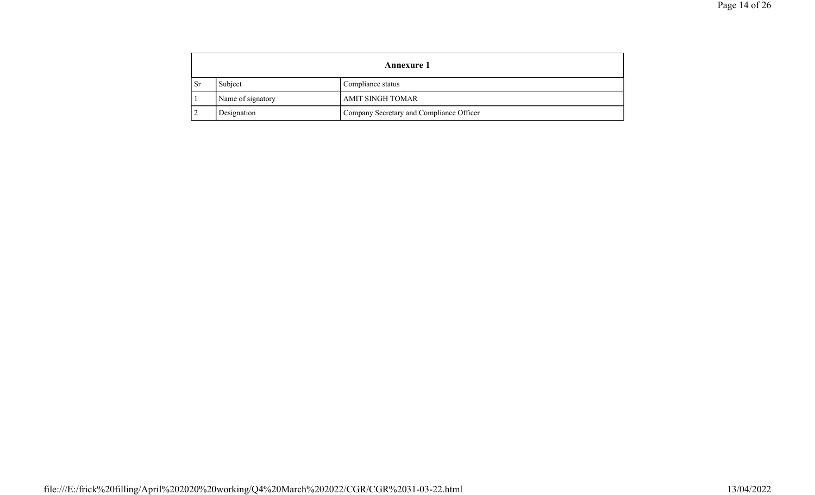|           |                   | <b>Annexure 1</b>                        |
|-----------|-------------------|------------------------------------------|
| <b>Sr</b> | Subject           | Compliance status                        |
|           | Name of signatory | AMIT SINGH TOMAR                         |
|           | Designation       | Company Secretary and Compliance Officer |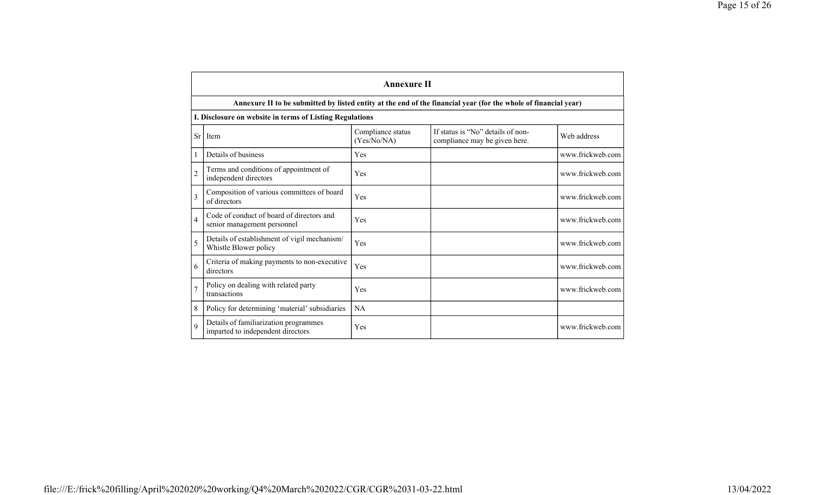|                | <b>Annexure II</b>                                                                                              |                                  |                                                                    |                  |
|----------------|-----------------------------------------------------------------------------------------------------------------|----------------------------------|--------------------------------------------------------------------|------------------|
|                | Annexure II to be submitted by listed entity at the end of the financial year (for the whole of financial year) |                                  |                                                                    |                  |
|                | I. Disclosure on website in terms of Listing Regulations                                                        |                                  |                                                                    |                  |
| <b>Sr</b>      | Item                                                                                                            | Compliance status<br>(Yes/No/NA) | If status is "No" details of non-<br>compliance may be given here. | Web address      |
|                | Details of business                                                                                             | Yes                              |                                                                    | www.frickweb.com |
| $\overline{2}$ | Terms and conditions of appointment of<br>independent directors                                                 | Yes                              |                                                                    | www.frickweb.com |
| $\overline{3}$ | Composition of various committees of board<br>of directors                                                      | Yes                              |                                                                    | www.frickweb.com |
| $\overline{4}$ | Code of conduct of board of directors and<br>senior management personnel                                        | Yes                              |                                                                    | www.frickweb.com |
| 5              | Details of establishment of vigil mechanism/<br>Whistle Blower policy                                           | Yes                              |                                                                    | www.frickweb.com |
| 6              | Criteria of making payments to non-executive<br>directors                                                       | Yes                              |                                                                    | www.frickweb.com |
| $\overline{7}$ | Policy on dealing with related party<br>transactions                                                            | Yes                              |                                                                    | www.frickweb.com |
| 8              | Policy for determining 'material' subsidiaries                                                                  | <b>NA</b>                        |                                                                    |                  |
| 9              | Details of familiarization programmes<br>imparted to independent directors                                      | Yes                              |                                                                    | www.frickweb.com |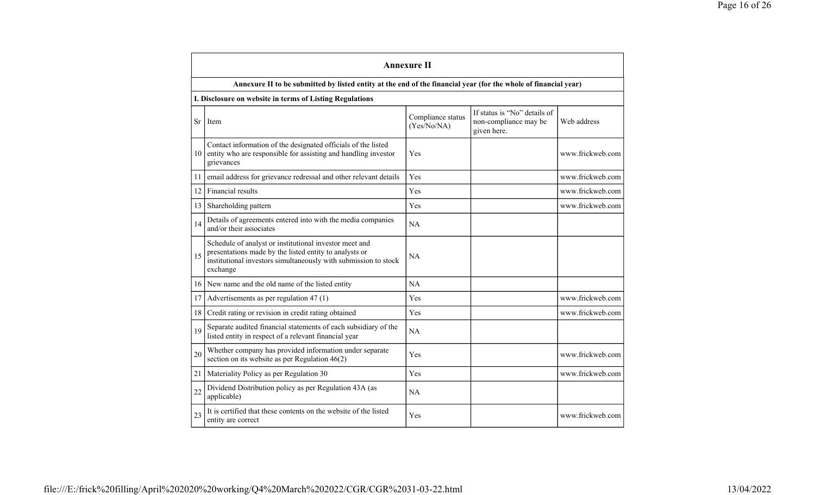|           |                                                                                                                                                                                                 | <b>Annexure II</b>               |                                                                      |                  |
|-----------|-------------------------------------------------------------------------------------------------------------------------------------------------------------------------------------------------|----------------------------------|----------------------------------------------------------------------|------------------|
|           | Annexure II to be submitted by listed entity at the end of the financial year (for the whole of financial year)                                                                                 |                                  |                                                                      |                  |
|           | I. Disclosure on website in terms of Listing Regulations                                                                                                                                        |                                  |                                                                      |                  |
| <b>Sr</b> | Item                                                                                                                                                                                            | Compliance status<br>(Yes/No/NA) | If status is "No" details of<br>non-compliance may be<br>given here. | Web address      |
| 10        | Contact information of the designated officials of the listed<br>entity who are responsible for assisting and handling investor<br>grievances                                                   | Yes                              |                                                                      | www.frickweb.com |
| 11        | email address for grievance redressal and other relevant details                                                                                                                                | Yes                              |                                                                      | www.frickweb.com |
| 12        | Financial results                                                                                                                                                                               | Yes                              |                                                                      | www.frickweb.com |
| 13        | Shareholding pattern                                                                                                                                                                            | Yes                              |                                                                      | www.frickweb.com |
| 14        | Details of agreements entered into with the media companies<br>and/or their associates                                                                                                          | NA                               |                                                                      |                  |
| 15        | Schedule of analyst or institutional investor meet and<br>presentations made by the listed entity to analysts or<br>institutional investors simultaneously with submission to stock<br>exchange | <b>NA</b>                        |                                                                      |                  |
| 16        | New name and the old name of the listed entity                                                                                                                                                  | NA                               |                                                                      |                  |
| 17        | Advertisements as per regulation 47 (1)                                                                                                                                                         | Yes                              |                                                                      | www.frickweb.com |
| 18        | Credit rating or revision in credit rating obtained                                                                                                                                             | Yes                              |                                                                      | www.frickweb.com |
| 19        | Separate audited financial statements of each subsidiary of the<br>listed entity in respect of a relevant financial year                                                                        | <b>NA</b>                        |                                                                      |                  |
| 20        | Whether company has provided information under separate<br>section on its website as per Regulation $46(2)$                                                                                     | Yes                              |                                                                      | www.frickweb.com |
| 21        | Materiality Policy as per Regulation 30                                                                                                                                                         | Yes                              |                                                                      | www.frickweb.com |
| 22        | Dividend Distribution policy as per Regulation 43A (as<br>applicable)                                                                                                                           | NA                               |                                                                      |                  |
| 23        | It is certified that these contents on the website of the listed<br>entity are correct                                                                                                          | Yes                              |                                                                      | www.frickweb.com |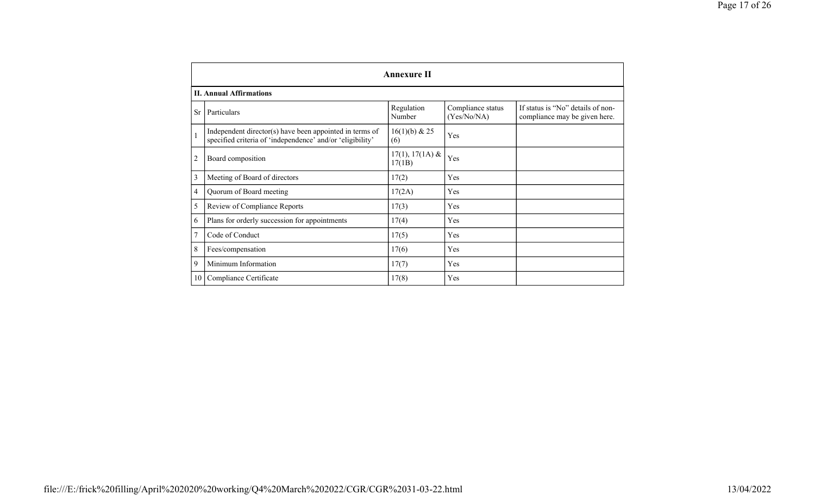|                 |                                                                                                                      | <b>Annexure II</b>          |                                  |                                                                    |
|-----------------|----------------------------------------------------------------------------------------------------------------------|-----------------------------|----------------------------------|--------------------------------------------------------------------|
|                 | <b>II. Annual Affirmations</b>                                                                                       |                             |                                  |                                                                    |
| <b>Sr</b>       | Particulars                                                                                                          | Regulation<br>Number        | Compliance status<br>(Yes/No/NA) | If status is "No" details of non-<br>compliance may be given here. |
|                 | Independent director(s) have been appointed in terms of<br>specified criteria of 'independence' and/or 'eligibility' | 16(1)(b) & 25<br>(6)        | Yes                              |                                                                    |
| 2               | Board composition                                                                                                    | $17(1), 17(1A)$ &<br>17(1B) | Yes                              |                                                                    |
| 3               | Meeting of Board of directors                                                                                        | 17(2)                       | Yes                              |                                                                    |
| 4               | Quorum of Board meeting                                                                                              | 17(2A)                      | Yes                              |                                                                    |
| 5               | Review of Compliance Reports                                                                                         | 17(3)                       | Yes                              |                                                                    |
| 6               | Plans for orderly succession for appointments                                                                        | 17(4)                       | Yes                              |                                                                    |
|                 | Code of Conduct                                                                                                      | 17(5)                       | Yes                              |                                                                    |
| 8               | Fees/compensation                                                                                                    | 17(6)                       | Yes                              |                                                                    |
| 9               | Minimum Information                                                                                                  | 17(7)                       | Yes                              |                                                                    |
| 10 <sub>1</sub> | Compliance Certificate                                                                                               | 17(8)                       | Yes                              |                                                                    |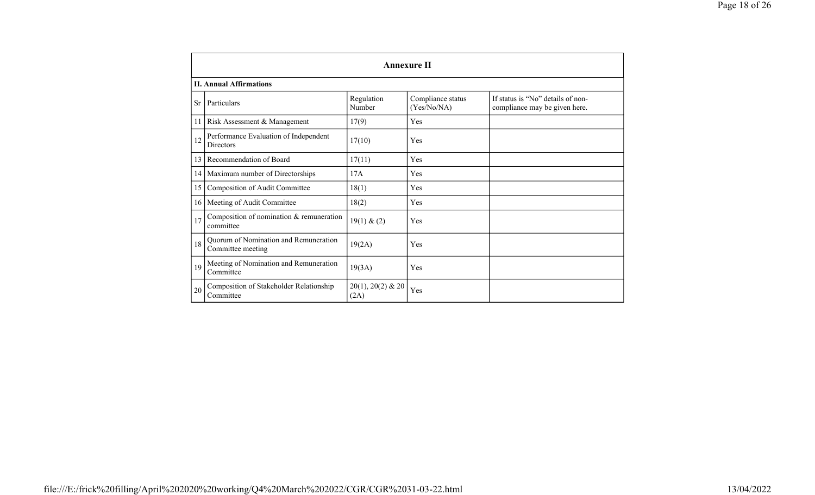|    |                                                            |                             | <b>Annexure II</b>               |                                                                    |
|----|------------------------------------------------------------|-----------------------------|----------------------------------|--------------------------------------------------------------------|
|    | <b>II. Annual Affirmations</b>                             |                             |                                  |                                                                    |
| Sr | Particulars                                                | Regulation<br>Number        | Compliance status<br>(Yes/No/NA) | If status is "No" details of non-<br>compliance may be given here. |
| 11 | Risk Assessment & Management                               | 17(9)                       | Yes                              |                                                                    |
| 12 | Performance Evaluation of Independent<br><b>Directors</b>  | 17(10)                      | Yes                              |                                                                    |
| 13 | Recommendation of Board                                    | 17(11)                      | Yes                              |                                                                    |
|    | 14   Maximum number of Directorships                       | 17A                         | Yes                              |                                                                    |
|    | 15 Composition of Audit Committee                          | 18(1)                       | Yes                              |                                                                    |
|    | 16   Meeting of Audit Committee                            | 18(2)                       | Yes                              |                                                                    |
| 17 | Composition of nomination $&$ remuneration<br>committee    | 19(1) & (2)                 | Yes                              |                                                                    |
| 18 | Quorum of Nomination and Remuneration<br>Committee meeting | 19(2A)                      | Yes                              |                                                                    |
| 19 | Meeting of Nomination and Remuneration<br>Committee        | 19(3A)                      | Yes                              |                                                                    |
| 20 | Composition of Stakeholder Relationship<br>Committee       | $20(1), 20(2)$ & 20<br>(2A) | Yes                              |                                                                    |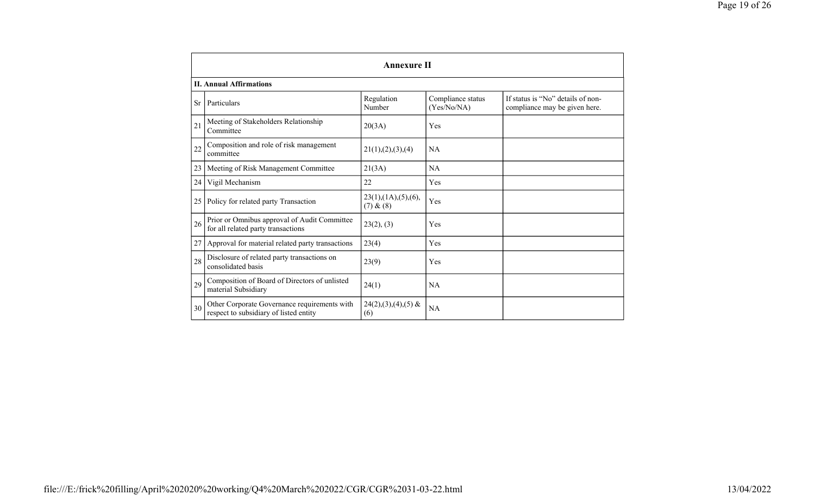|           |                                                                                        | <b>Annexure II</b>                              |                                  |                                                                    |
|-----------|----------------------------------------------------------------------------------------|-------------------------------------------------|----------------------------------|--------------------------------------------------------------------|
|           | <b>II. Annual Affirmations</b>                                                         |                                                 |                                  |                                                                    |
| <b>Sr</b> | Particulars                                                                            | Regulation<br>Number                            | Compliance status<br>(Yes/No/NA) | If status is "No" details of non-<br>compliance may be given here. |
| 21        | Meeting of Stakeholders Relationship<br>Committee                                      | 20(3A)                                          | Yes                              |                                                                    |
| 22        | Composition and role of risk management<br>committee                                   | 21(1), (2), (3), (4)                            | NA                               |                                                                    |
| 23        | Meeting of Risk Management Committee                                                   | 21(3A)                                          | <b>NA</b>                        |                                                                    |
| 24        | Vigil Mechanism                                                                        | 22                                              | Yes                              |                                                                    |
| 25        | Policy for related party Transaction                                                   | $23(1)$ , $(1A)$ , $(5)$ , $(6)$ ,<br>(7) & (8) | Yes                              |                                                                    |
| 26        | Prior or Omnibus approval of Audit Committee<br>for all related party transactions     | 23(2), (3)                                      | Yes                              |                                                                    |
| 27        | Approval for material related party transactions                                       | 23(4)                                           | Yes                              |                                                                    |
| 28        | Disclosure of related party transactions on<br>consolidated basis                      | 23(9)                                           | Yes                              |                                                                    |
| 29        | Composition of Board of Directors of unlisted<br>material Subsidiary                   | 24(1)                                           | <b>NA</b>                        |                                                                    |
| 30        | Other Corporate Governance requirements with<br>respect to subsidiary of listed entity | $24(2),(3),(4),(5)$ &<br>(6)                    | <b>NA</b>                        |                                                                    |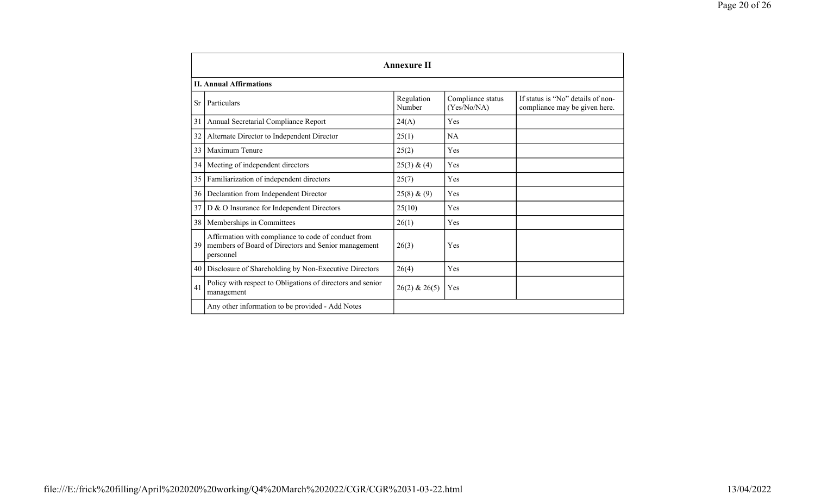|           |                                                                                                                         | <b>Annexure II</b>   |                                  |                                                                    |
|-----------|-------------------------------------------------------------------------------------------------------------------------|----------------------|----------------------------------|--------------------------------------------------------------------|
|           | <b>II. Annual Affirmations</b>                                                                                          |                      |                                  |                                                                    |
| <b>Sr</b> | Particulars                                                                                                             | Regulation<br>Number | Compliance status<br>(Yes/No/NA) | If status is "No" details of non-<br>compliance may be given here. |
| 31        | Annual Secretarial Compliance Report                                                                                    | 24(A)                | Yes                              |                                                                    |
| 32        | Alternate Director to Independent Director                                                                              | 25(1)                | <b>NA</b>                        |                                                                    |
| 33        | Maximum Tenure                                                                                                          | 25(2)                | Yes                              |                                                                    |
| 34        | Meeting of independent directors                                                                                        | 25(3) & (4)          | Yes                              |                                                                    |
| 35        | Familiarization of independent directors                                                                                | 25(7)                | Yes                              |                                                                    |
| 36        | Declaration from Independent Director                                                                                   | 25(8) & (9)          | Yes                              |                                                                    |
| 37        | D & O Insurance for Independent Directors                                                                               | 25(10)               | Yes                              |                                                                    |
| 38        | Memberships in Committees                                                                                               | 26(1)                | Yes                              |                                                                    |
| 39        | Affirmation with compliance to code of conduct from<br>members of Board of Directors and Senior management<br>personnel | 26(3)                | Yes                              |                                                                    |
| 40        | Disclosure of Shareholding by Non-Executive Directors                                                                   | 26(4)                | Yes                              |                                                                    |
| 41        | Policy with respect to Obligations of directors and senior<br>management                                                | $26(2)$ & $26(5)$    | Yes                              |                                                                    |
|           | Any other information to be provided - Add Notes                                                                        |                      |                                  |                                                                    |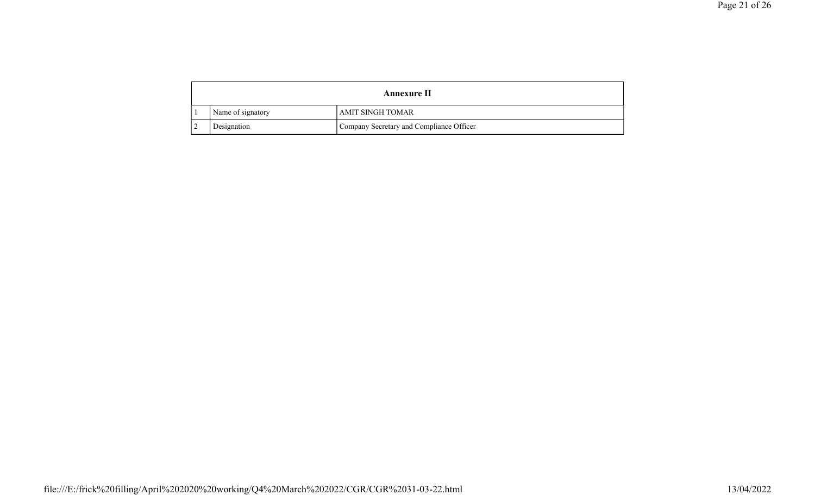|                   | <b>Annexure II</b>                       |
|-------------------|------------------------------------------|
| Name of signatory | AMIT SINGH TOMAR                         |
| Designation       | Company Secretary and Compliance Officer |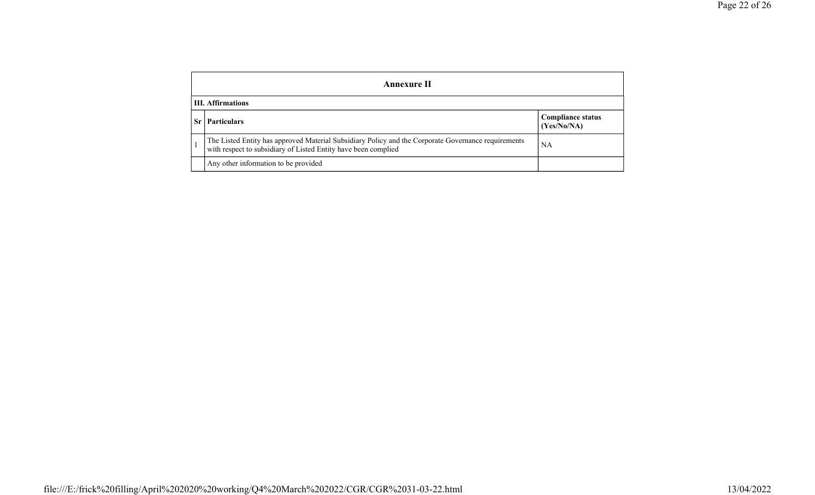|         | <b>Annexure II</b>                                                                                                                                                    |                                         |
|---------|-----------------------------------------------------------------------------------------------------------------------------------------------------------------------|-----------------------------------------|
|         | <b>III. Affirmations</b>                                                                                                                                              |                                         |
| $S_{r}$ | <b>Particulars</b>                                                                                                                                                    | <b>Compliance status</b><br>(Yes/No/NA) |
|         | The Listed Entity has approved Material Subsidiary Policy and the Corporate Governance requirements<br>with respect to subsidiary of Listed Entity have been complied | NA                                      |
|         | Any other information to be provided                                                                                                                                  |                                         |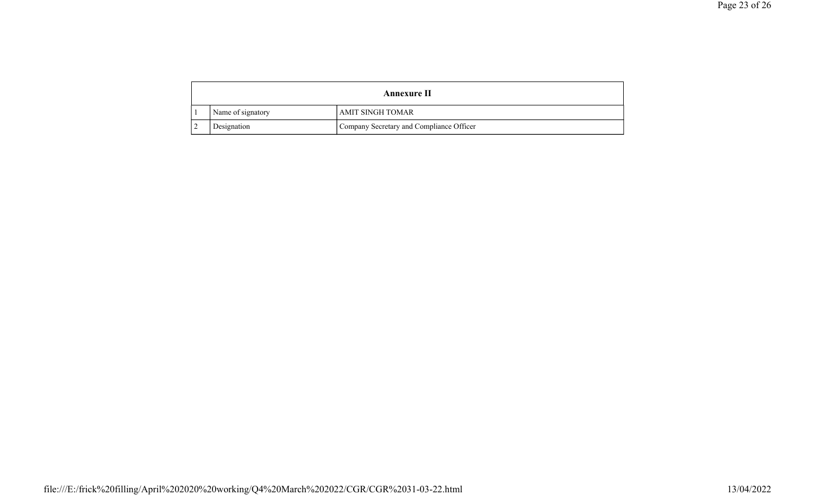|                   | <b>Annexure II</b>                       |
|-------------------|------------------------------------------|
| Name of signatory | AMIT SINGH TOMAR                         |
| Designation       | Company Secretary and Compliance Officer |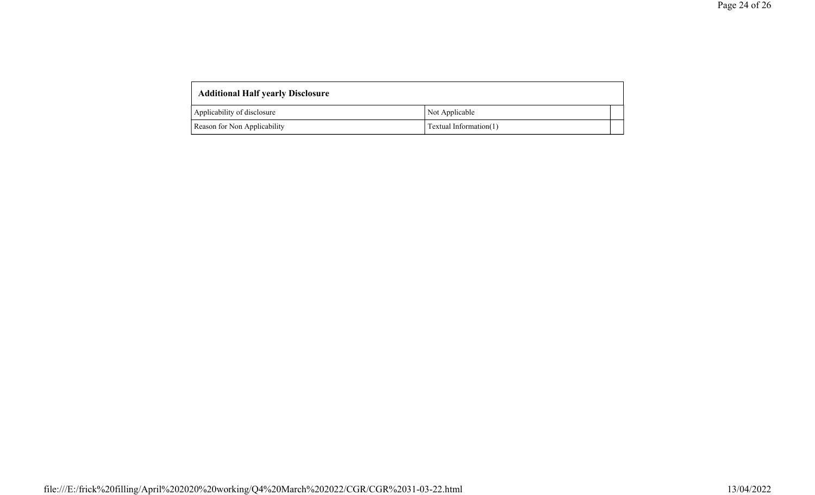| <b>Additional Half yearly Disclosure</b> |                        |  |
|------------------------------------------|------------------------|--|
| Applicability of disclosure              | Not Applicable         |  |
| Reason for Non Applicability             | Textual Information(1) |  |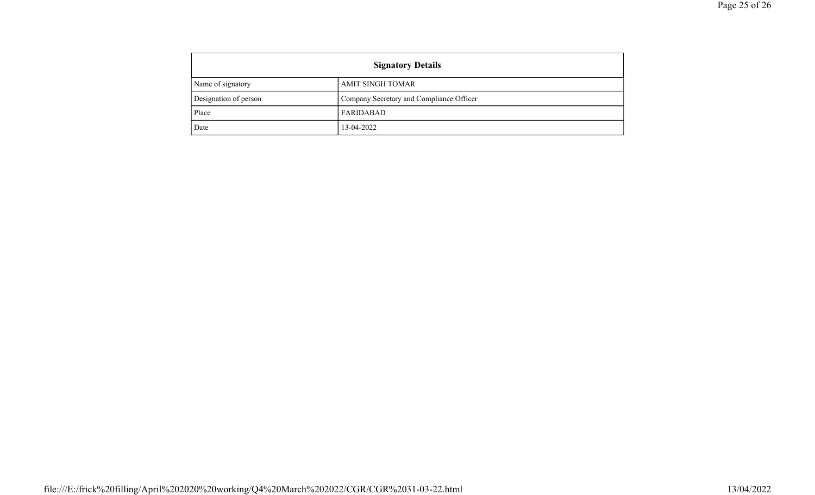| <b>Signatory Details</b> |                                          |
|--------------------------|------------------------------------------|
| Name of signatory        | AMIT SINGH TOMAR                         |
| Designation of person    | Company Secretary and Compliance Officer |
| Place                    | FARIDABAD                                |
| Date                     | 13-04-2022                               |